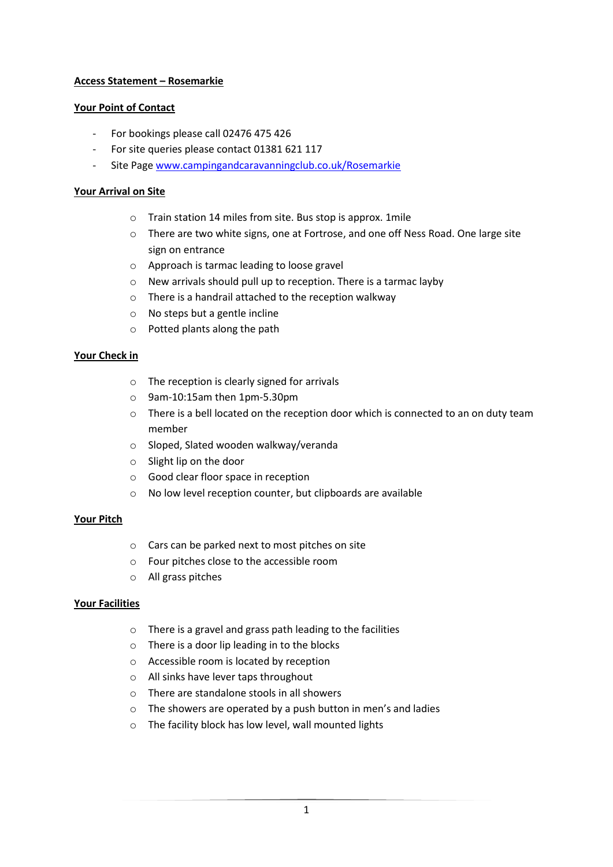## **Access Statement – Rosemarkie**

## **Your Point of Contact**

- For bookings please call 02476 475 426
- For site queries please contact 01381 621 117
- Site Page [www.campingandcaravanningclub.co.uk/Rosemarkie](http://www.campingandcaravanningclub.co.uk/Rosemarkie)

## **Your Arrival on Site**

- o Train station 14 miles from site. Bus stop is approx. 1mile
- o There are two white signs, one at Fortrose, and one off Ness Road. One large site sign on entrance
- o Approach is tarmac leading to loose gravel
- o New arrivals should pull up to reception. There is a tarmac layby
- o There is a handrail attached to the reception walkway
- o No steps but a gentle incline
- o Potted plants along the path

### **Your Check in**

- o The reception is clearly signed for arrivals
- o 9am-10:15am then 1pm-5.30pm
- $\circ$  There is a bell located on the reception door which is connected to an on duty team member
- o Sloped, Slated wooden walkway/veranda
- o Slight lip on the door
- o Good clear floor space in reception
- o No low level reception counter, but clipboards are available

### **Your Pitch**

- o Cars can be parked next to most pitches on site
- o Four pitches close to the accessible room
- o All grass pitches

### **Your Facilities**

- o There is a gravel and grass path leading to the facilities
- o There is a door lip leading in to the blocks
- o Accessible room is located by reception
- o All sinks have lever taps throughout
- o There are standalone stools in all showers
- o The showers are operated by a push button in men's and ladies
- o The facility block has low level, wall mounted lights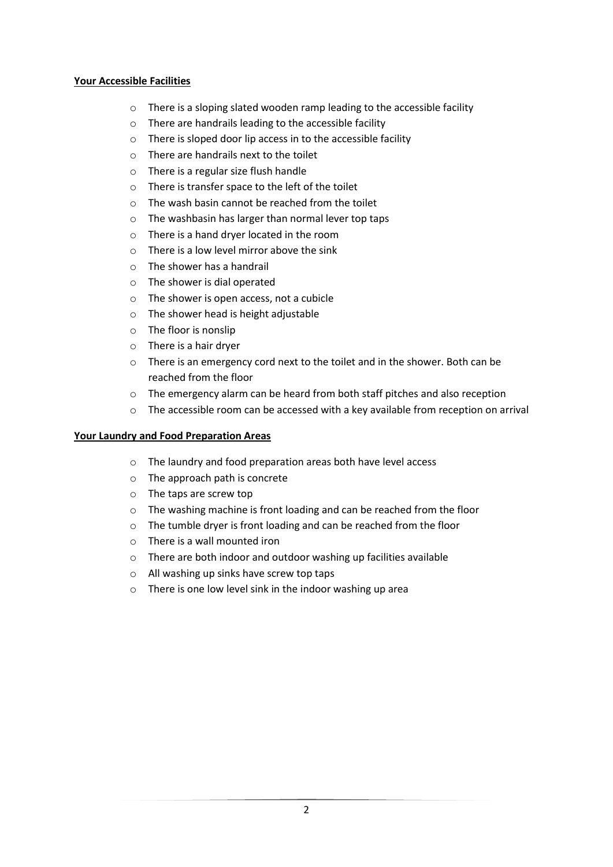## **Your Accessible Facilities**

- o There is a sloping slated wooden ramp leading to the accessible facility
- o There are handrails leading to the accessible facility
- o There is sloped door lip access in to the accessible facility
- o There are handrails next to the toilet
- o There is a regular size flush handle
- o There is transfer space to the left of the toilet
- o The wash basin cannot be reached from the toilet
- o The washbasin has larger than normal lever top taps
- o There is a hand dryer located in the room
- o There is a low level mirror above the sink
- o The shower has a handrail
- o The shower is dial operated
- o The shower is open access, not a cubicle
- o The shower head is height adjustable
- o The floor is nonslip
- o There is a hair dryer
- $\circ$  There is an emergency cord next to the toilet and in the shower. Both can be reached from the floor
- o The emergency alarm can be heard from both staff pitches and also reception
- $\circ$  The accessible room can be accessed with a key available from reception on arrival

### **Your Laundry and Food Preparation Areas**

- o The laundry and food preparation areas both have level access
- o The approach path is concrete
- o The taps are screw top
- o The washing machine is front loading and can be reached from the floor
- o The tumble dryer is front loading and can be reached from the floor
- o There is a wall mounted iron
- o There are both indoor and outdoor washing up facilities available
- o All washing up sinks have screw top taps
- o There is one low level sink in the indoor washing up area